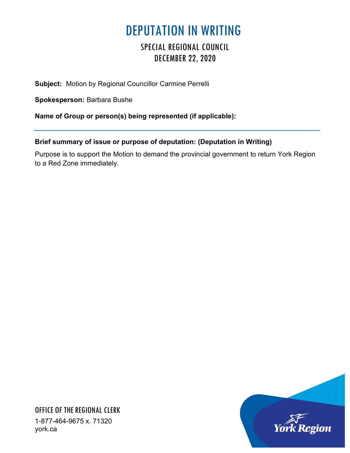## DEPUTATION IN WRITING

## SPECIAL REGIONAL COUNCIL DECEMBER 22, 2020

**Subject:** Motion by Regional Councillor Carmine Perrelli

**Spokesperson:** Barbara Bushe

**Name of Group or person(s) being represented (if applicable):**

## **Brief summary of issue or purpose of deputation: (Deputation in Writing)**

Purpose is to support the Motion to demand the provincial government to return York Region to a Red Zone immediately.



OFFICE OF THE REGIONAL CLERK 1-877-464-9675 x. 71320 york.ca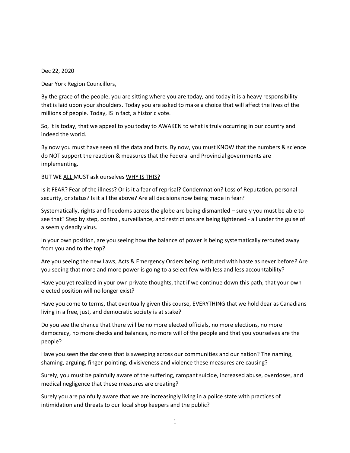Dec 22, 2020

Dear York Region Councillors,

By the grace of the people, you are sitting where you are today, and today it is a heavy responsibility that is laid upon your shoulders. Today you are asked to make a choice that will affect the lives of the millions of people. Today, IS in fact, a historic vote.

So, it is today, that we appeal to you today to AWAKEN to what is truly occurring in our country and indeed the world.

By now you must have seen all the data and facts. By now, you must KNOW that the numbers & science do NOT support the reaction & measures that the Federal and Provincial governments are implementing.

BUT WE ALL MUST ask ourselves WHY IS THIS?

Is it FEAR? Fear of the illness? Or is it a fear of reprisal? Condemnation? Loss of Reputation, personal security, or status? Is it all the above? Are all decisions now being made in fear?

Systematically, rights and freedoms across the globe are being dismantled – surely you must be able to see that? Step by step, control, surveillance, and restrictions are being tightened - all under the guise of a seemly deadly virus.

In your own position, are you seeing how the balance of power is being systematically rerouted away from you and to the top?

Are you seeing the new Laws, Acts & Emergency Orders being instituted with haste as never before? Are you seeing that more and more power is going to a select few with less and less accountability?

Have you yet realized in your own private thoughts, that if we continue down this path, that your own elected position will no longer exist?

Have you come to terms, that eventually given this course, EVERYTHING that we hold dear as Canadians living in a free, just, and democratic society is at stake?

Do you see the chance that there will be no more elected officials, no more elections, no more democracy, no more checks and balances, no more will of the people and that you yourselves are the people?

Have you seen the darkness that is sweeping across our communities and our nation? The naming, shaming, arguing, finger-pointing, divisiveness and violence these measures are causing?

Surely, you must be painfully aware of the suffering, rampant suicide, increased abuse, overdoses, and medical negligence that these measures are creating?

Surely you are painfully aware that we are increasingly living in a police state with practices of intimidation and threats to our local shop keepers and the public?